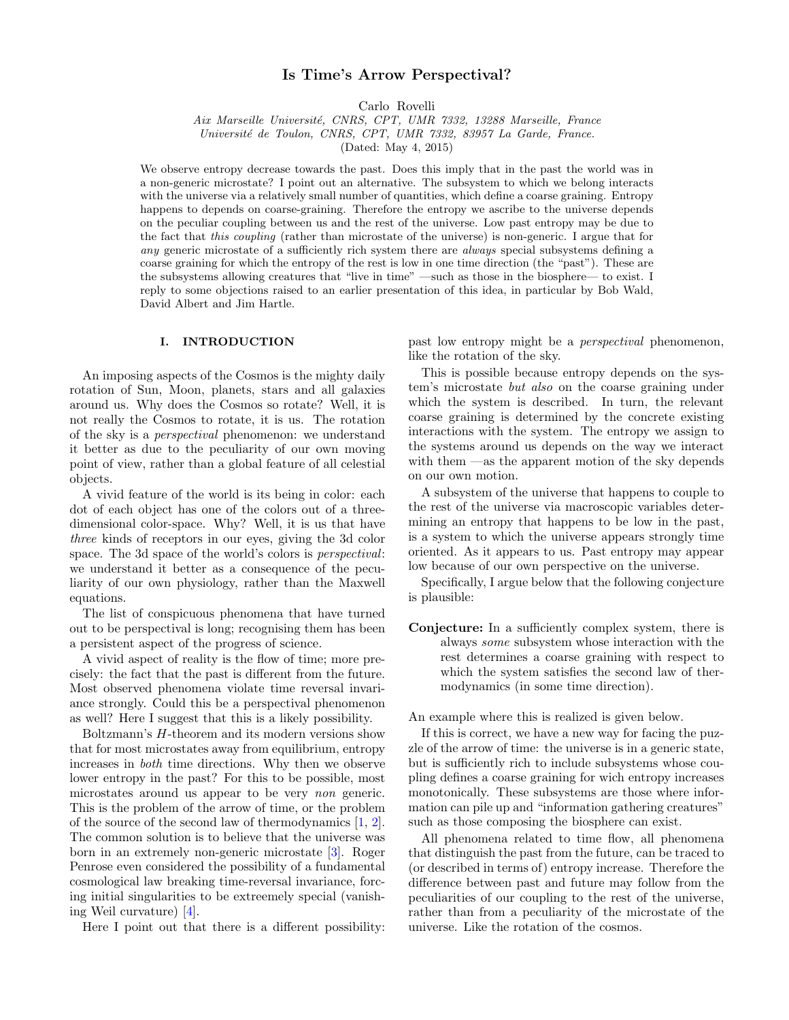# Is Time's Arrow Perspectival?

Carlo Rovelli

Aix Marseille Université, CNRS, CPT, UMR 7332, 13288 Marseille, France Université de Toulon, CNRS, CPT, UMR 7332, 83957 La Garde, France.

(Dated: May 4, 2015)

We observe entropy decrease towards the past. Does this imply that in the past the world was in a non-generic microstate? I point out an alternative. The subsystem to which we belong interacts with the universe via a relatively small number of quantities, which define a coarse graining. Entropy happens to depends on coarse-graining. Therefore the entropy we ascribe to the universe depends on the peculiar coupling between us and the rest of the universe. Low past entropy may be due to the fact that this coupling (rather than microstate of the universe) is non-generic. I argue that for any generic microstate of a sufficiently rich system there are *always* special subsystems defining a coarse graining for which the entropy of the rest is low in one time direction (the "past"). These are the subsystems allowing creatures that "live in time" —such as those in the biosphere— to exist. I reply to some objections raised to an earlier presentation of this idea, in particular by Bob Wald, David Albert and Jim Hartle.

#### I. INTRODUCTION

An imposing aspects of the Cosmos is the mighty daily rotation of Sun, Moon, planets, stars and all galaxies around us. Why does the Cosmos so rotate? Well, it is not really the Cosmos to rotate, it is us. The rotation of the sky is a perspectival phenomenon: we understand it better as due to the peculiarity of our own moving point of view, rather than a global feature of all celestial objects.

A vivid feature of the world is its being in color: each dot of each object has one of the colors out of a threedimensional color-space. Why? Well, it is us that have three kinds of receptors in our eyes, giving the 3d color space. The 3d space of the world's colors is perspectival: we understand it better as a consequence of the peculiarity of our own physiology, rather than the Maxwell equations.

The list of conspicuous phenomena that have turned out to be perspectival is long; recognising them has been a persistent aspect of the progress of science.

A vivid aspect of reality is the flow of time; more precisely: the fact that the past is different from the future. Most observed phenomena violate time reversal invariance strongly. Could this be a perspectival phenomenon as well? Here I suggest that this is a likely possibility.

Boltzmann's H-theorem and its modern versions show that for most microstates away from equilibrium, entropy increases in both time directions. Why then we observe lower entropy in the past? For this to be possible, most microstates around us appear to be very non generic. This is the problem of the arrow of time, or the problem of the source of the second law of thermodynamics [\[1,](#page-5-0) [2\]](#page-5-1). The common solution is to believe that the universe was born in an extremely non-generic microstate [\[3\]](#page-5-2). Roger Penrose even considered the possibility of a fundamental cosmological law breaking time-reversal invariance, forcing initial singularities to be extreemely special (vanishing Weil curvature) [\[4\]](#page-5-3).

Here I point out that there is a different possibility:

past low entropy might be a perspectival phenomenon, like the rotation of the sky.

This is possible because entropy depends on the system's microstate but also on the coarse graining under which the system is described. In turn, the relevant coarse graining is determined by the concrete existing interactions with the system. The entropy we assign to the systems around us depends on the way we interact with them —as the apparent motion of the sky depends on our own motion.

A subsystem of the universe that happens to couple to the rest of the universe via macroscopic variables determining an entropy that happens to be low in the past, is a system to which the universe appears strongly time oriented. As it appears to us. Past entropy may appear low because of our own perspective on the universe.

Specifically, I argue below that the following conjecture is plausible:

Conjecture: In a sufficiently complex system, there is always some subsystem whose interaction with the rest determines a coarse graining with respect to which the system satisfies the second law of thermodynamics (in some time direction).

An example where this is realized is given below.

If this is correct, we have a new way for facing the puzzle of the arrow of time: the universe is in a generic state, but is sufficiently rich to include subsystems whose coupling defines a coarse graining for wich entropy increases monotonically. These subsystems are those where information can pile up and "information gathering creatures" such as those composing the biosphere can exist.

All phenomena related to time flow, all phenomena that distinguish the past from the future, can be traced to (or described in terms of) entropy increase. Therefore the difference between past and future may follow from the peculiarities of our coupling to the rest of the universe, rather than from a peculiarity of the microstate of the universe. Like the rotation of the cosmos.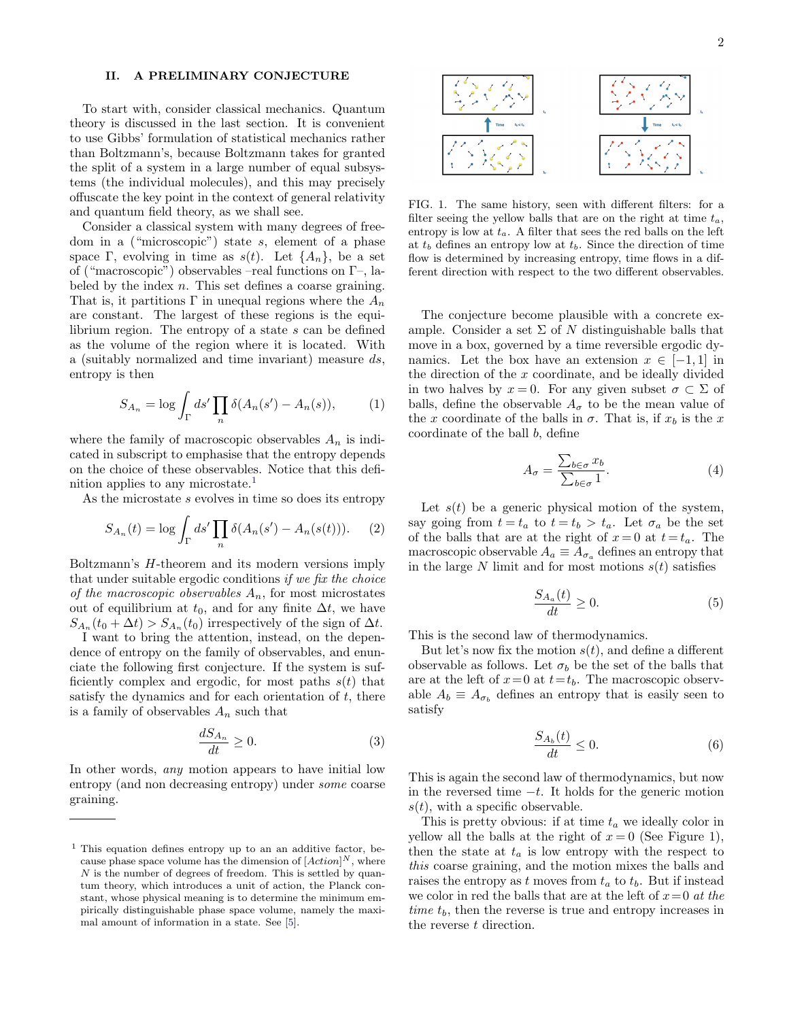## II. A PRELIMINARY CONJECTURE

To start with, consider classical mechanics. Quantum theory is discussed in the last section. It is convenient to use Gibbs' formulation of statistical mechanics rather than Boltzmann's, because Boltzmann takes for granted the split of a system in a large number of equal subsystems (the individual molecules), and this may precisely offuscate the key point in the context of general relativity and quantum field theory, as we shall see.

Consider a classical system with many degrees of freedom in a ("microscopic") state s, element of a phase space Γ, evolving in time as  $s(t)$ . Let  $\{A_n\}$ , be a set of ("macroscopic") observables –real functions on Γ–, labeled by the index  $n$ . This set defines a coarse graining. That is, it partitions  $\Gamma$  in unequal regions where the  $A_n$ are constant. The largest of these regions is the equilibrium region. The entropy of a state s can be defined as the volume of the region where it is located. With a (suitably normalized and time invariant) measure ds, entropy is then

$$
S_{A_n} = \log \int_{\Gamma} ds' \prod_n \delta(A_n(s') - A_n(s)), \tag{1}
$$

where the family of macroscopic observables  $A_n$  is indicated in subscript to emphasise that the entropy depends on the choice of these observables. Notice that this defi-nition applies to any microstate.<sup>[1](#page-1-0)</sup>

As the microstate s evolves in time so does its entropy

$$
S_{A_n}(t) = \log \int_{\Gamma} ds' \prod_{n} \delta(A_n(s') - A_n(s(t))). \tag{2}
$$

Boltzmann's H-theorem and its modern versions imply that under suitable ergodic conditions if we fix the choice of the macroscopic observables  $A_n$ , for most microstates out of equilibrium at  $t_0$ , and for any finite  $\Delta t$ , we have  $S_{A_n}(t_0 + \Delta t) > S_{A_n}(t_0)$  irrespectively of the sign of  $\Delta t$ .

I want to bring the attention, instead, on the dependence of entropy on the family of observables, and enunciate the following first conjecture. If the system is sufficiently complex and ergodic, for most paths  $s(t)$  that satisfy the dynamics and for each orientation of  $t$ , there is a family of observables  $A_n$  such that

$$
\frac{dS_{A_n}}{dt} \ge 0.
$$
\n(3)

In other words, any motion appears to have initial low entropy (and non decreasing entropy) under some coarse graining.



FIG. 1. The same history, seen with different filters: for a filter seeing the yellow balls that are on the right at time  $t_a$ , entropy is low at  $t_a$ . A filter that sees the red balls on the left at  $t_b$  defines an entropy low at  $t_b$ . Since the direction of time flow is determined by increasing entropy, time flows in a different direction with respect to the two different observables.

The conjecture become plausible with a concrete example. Consider a set  $\Sigma$  of N distinguishable balls that move in a box, governed by a time reversible ergodic dynamics. Let the box have an extension  $x \in [-1, 1]$  in the direction of the x coordinate, and be ideally divided in two halves by  $x = 0$ . For any given subset  $\sigma \subset \Sigma$  of balls, define the observable  $A_{\sigma}$  to be the mean value of the x coordinate of the balls in  $\sigma$ . That is, if  $x_b$  is the x coordinate of the ball b, define

$$
A_{\sigma} = \frac{\sum_{b \in \sigma} x_b}{\sum_{b \in \sigma} 1}.
$$
 (4)

Let  $s(t)$  be a generic physical motion of the system, say going from  $t = t_a$  to  $t = t_b > t_a$ . Let  $\sigma_a$  be the set of the balls that are at the right of  $x = 0$  at  $t = t_a$ . The macroscopic observable  $A_a \equiv A_{\sigma_a}$  defines an entropy that in the large N limit and for most motions  $s(t)$  satisfies

$$
\frac{S_{A_a}(t)}{dt} \ge 0.
$$
\n<sup>(5)</sup>

This is the second law of thermodynamics.

But let's now fix the motion  $s(t)$ , and define a different observable as follows. Let  $\sigma_b$  be the set of the balls that are at the left of  $x=0$  at  $t=t_b$ . The macroscopic observable  $A_b \equiv A_{\sigma_b}$  defines an entropy that is easily seen to satisfy

$$
\frac{S_{A_b}(t)}{dt} \le 0.
$$
\n(6)

This is again the second law of thermodynamics, but now in the reversed time  $-t$ . It holds for the generic motion  $s(t)$ , with a specific observable.

This is pretty obvious: if at time  $t_a$  we ideally color in yellow all the balls at the right of  $x = 0$  (See Figure 1), then the state at  $t_a$  is low entropy with the respect to this coarse graining, and the motion mixes the balls and raises the entropy as t moves from  $t_a$  to  $t_b$ . But if instead we color in red the balls that are at the left of  $x=0$  at the time  $t<sub>b</sub>$ , then the reverse is true and entropy increases in the reverse t direction.

<span id="page-1-0"></span><sup>1</sup> This equation defines entropy up to an an additive factor, because phase space volume has the dimension of  $[Action<sup>N</sup>]$ , where  $N$  is the number of degrees of freedom. This is settled by quantum theory, which introduces a unit of action, the Planck constant, whose physical meaning is to determine the minimum empirically distinguishable phase space volume, namely the maximal amount of information in a state. See [\[5\]](#page-5-4).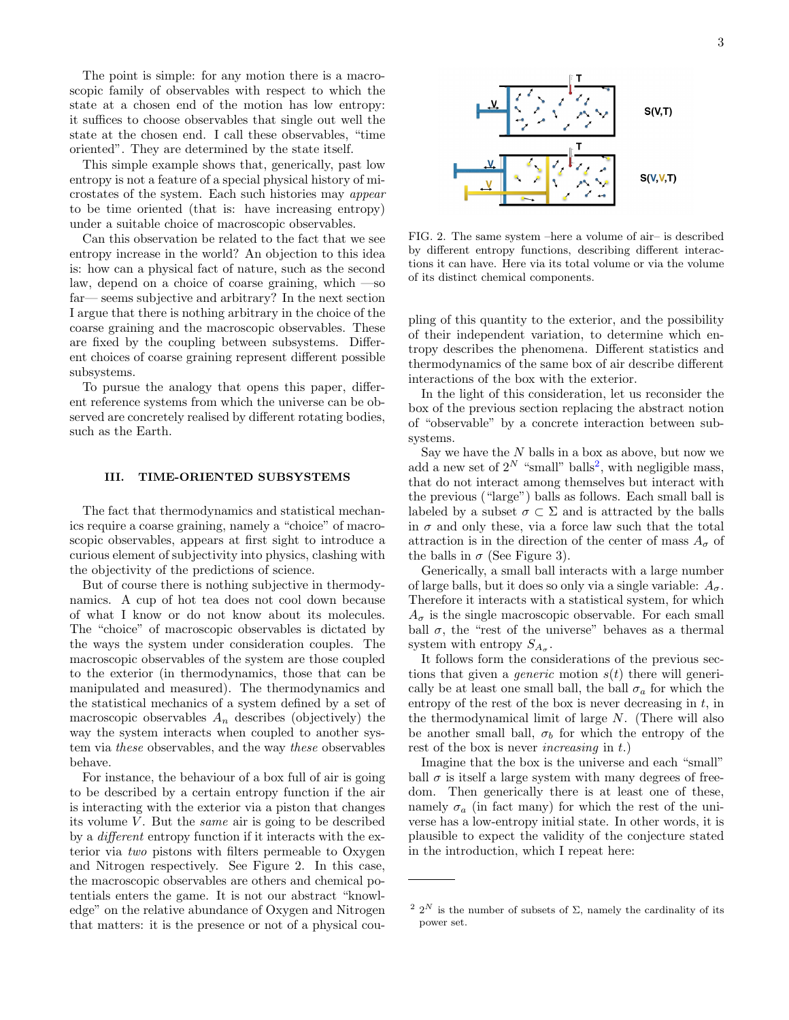The point is simple: for any motion there is a macroscopic family of observables with respect to which the state at a chosen end of the motion has low entropy: it suffices to choose observables that single out well the state at the chosen end. I call these observables, "time oriented". They are determined by the state itself.

This simple example shows that, generically, past low entropy is not a feature of a special physical history of microstates of the system. Each such histories may appear to be time oriented (that is: have increasing entropy) under a suitable choice of macroscopic observables.

Can this observation be related to the fact that we see entropy increase in the world? An objection to this idea is: how can a physical fact of nature, such as the second law, depend on a choice of coarse graining, which —so far— seems subjective and arbitrary? In the next section I argue that there is nothing arbitrary in the choice of the coarse graining and the macroscopic observables. These are fixed by the coupling between subsystems. Different choices of coarse graining represent different possible subsystems.

To pursue the analogy that opens this paper, different reference systems from which the universe can be observed are concretely realised by different rotating bodies, such as the Earth.

## III. TIME-ORIENTED SUBSYSTEMS

The fact that thermodynamics and statistical mechanics require a coarse graining, namely a "choice" of macroscopic observables, appears at first sight to introduce a curious element of subjectivity into physics, clashing with the objectivity of the predictions of science.

But of course there is nothing subjective in thermodynamics. A cup of hot tea does not cool down because of what I know or do not know about its molecules. The "choice" of macroscopic observables is dictated by the ways the system under consideration couples. The macroscopic observables of the system are those coupled to the exterior (in thermodynamics, those that can be manipulated and measured). The thermodynamics and the statistical mechanics of a system defined by a set of macroscopic observables  $A_n$  describes (objectively) the way the system interacts when coupled to another system via these observables, and the way these observables behave.

For instance, the behaviour of a box full of air is going to be described by a certain entropy function if the air is interacting with the exterior via a piston that changes its volume  $V$ . But the *same* air is going to be described by a different entropy function if it interacts with the exterior via two pistons with filters permeable to Oxygen and Nitrogen respectively. See Figure 2. In this case, the macroscopic observables are others and chemical potentials enters the game. It is not our abstract "knowledge" on the relative abundance of Oxygen and Nitrogen that matters: it is the presence or not of a physical cou-



FIG. 2. The same system –here a volume of air– is described by different entropy functions, describing different interactions it can have. Here via its total volume or via the volume of its distinct chemical components.

pling of this quantity to the exterior, and the possibility of their independent variation, to determine which entropy describes the phenomena. Different statistics and thermodynamics of the same box of air describe different interactions of the box with the exterior.

In the light of this consideration, let us reconsider the box of the previous section replacing the abstract notion of "observable" by a concrete interaction between subsystems.

Say we have the  $N$  balls in a box as above, but now we add a new set of  $2^N$  $2^N$  "small" balls<sup>2</sup>, with negligible mass, that do not interact among themselves but interact with the previous ("large") balls as follows. Each small ball is labeled by a subset  $\sigma \subset \Sigma$  and is attracted by the balls in  $\sigma$  and only these, via a force law such that the total attraction is in the direction of the center of mass  $A_{\sigma}$  of the balls in  $\sigma$  (See Figure 3).

Generically, a small ball interacts with a large number of large balls, but it does so only via a single variable:  $A_{\sigma}$ . Therefore it interacts with a statistical system, for which  $A_{\sigma}$  is the single macroscopic observable. For each small ball  $\sigma$ , the "rest of the universe" behaves as a thermal system with entropy  $S_{A_{\sigma}}$ .

It follows form the considerations of the previous sections that given a *generic* motion  $s(t)$  there will generically be at least one small ball, the ball  $\sigma_a$  for which the entropy of the rest of the box is never decreasing in  $t$ , in the thermodynamical limit of large N. (There will also be another small ball,  $\sigma_b$  for which the entropy of the rest of the box is never increasing in t.)

Imagine that the box is the universe and each "small" ball  $\sigma$  is itself a large system with many degrees of freedom. Then generically there is at least one of these, namely  $\sigma_a$  (in fact many) for which the rest of the universe has a low-entropy initial state. In other words, it is plausible to expect the validity of the conjecture stated in the introduction, which I repeat here:

<span id="page-2-0"></span><sup>&</sup>lt;sup>2</sup>  $2^N$  is the number of subsets of  $\Sigma$ , namely the cardinality of its power set.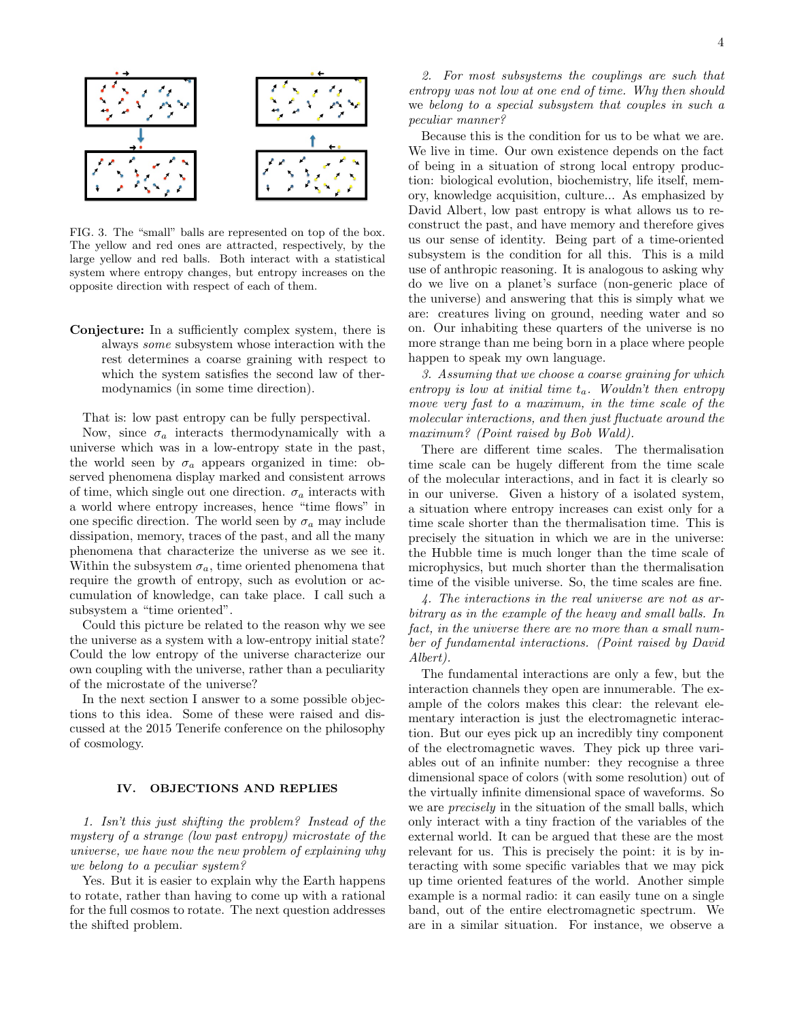

FIG. 3. The "small" balls are represented on top of the box. The yellow and red ones are attracted, respectively, by the large yellow and red balls. Both interact with a statistical system where entropy changes, but entropy increases on the opposite direction with respect of each of them.

Conjecture: In a sufficiently complex system, there is always some subsystem whose interaction with the rest determines a coarse graining with respect to which the system satisfies the second law of thermodynamics (in some time direction).

That is: low past entropy can be fully perspectival.

Now, since  $\sigma_a$  interacts thermodynamically with a universe which was in a low-entropy state in the past, the world seen by  $\sigma_a$  appears organized in time: observed phenomena display marked and consistent arrows of time, which single out one direction.  $\sigma_a$  interacts with a world where entropy increases, hence "time flows" in one specific direction. The world seen by  $\sigma_a$  may include dissipation, memory, traces of the past, and all the many phenomena that characterize the universe as we see it. Within the subsystem  $\sigma_a$ , time oriented phenomena that require the growth of entropy, such as evolution or accumulation of knowledge, can take place. I call such a subsystem a "time oriented".

Could this picture be related to the reason why we see the universe as a system with a low-entropy initial state? Could the low entropy of the universe characterize our own coupling with the universe, rather than a peculiarity of the microstate of the universe?

In the next section I answer to a some possible objections to this idea. Some of these were raised and discussed at the 2015 Tenerife conference on the philosophy of cosmology.

#### IV. OBJECTIONS AND REPLIES

1. Isn't this just shifting the problem? Instead of the mystery of a strange (low past entropy) microstate of the universe, we have now the new problem of explaining why we belong to a peculiar system?

Yes. But it is easier to explain why the Earth happens to rotate, rather than having to come up with a rational for the full cosmos to rotate. The next question addresses the shifted problem.

2. For most subsystems the couplings are such that entropy was not low at one end of time. Why then should we belong to a special subsystem that couples in such a peculiar manner?

Because this is the condition for us to be what we are. We live in time. Our own existence depends on the fact of being in a situation of strong local entropy production: biological evolution, biochemistry, life itself, memory, knowledge acquisition, culture... As emphasized by David Albert, low past entropy is what allows us to reconstruct the past, and have memory and therefore gives us our sense of identity. Being part of a time-oriented subsystem is the condition for all this. This is a mild use of anthropic reasoning. It is analogous to asking why do we live on a planet's surface (non-generic place of the universe) and answering that this is simply what we are: creatures living on ground, needing water and so on. Our inhabiting these quarters of the universe is no more strange than me being born in a place where people happen to speak my own language.

3. Assuming that we choose a coarse graining for which entropy is low at initial time  $t_a$ . Wouldn't then entropy move very fast to a maximum, in the time scale of the molecular interactions, and then just fluctuate around the maximum? (Point raised by Bob Wald).

There are different time scales. The thermalisation time scale can be hugely different from the time scale of the molecular interactions, and in fact it is clearly so in our universe. Given a history of a isolated system, a situation where entropy increases can exist only for a time scale shorter than the thermalisation time. This is precisely the situation in which we are in the universe: the Hubble time is much longer than the time scale of microphysics, but much shorter than the thermalisation time of the visible universe. So, the time scales are fine.

4. The interactions in the real universe are not as arbitrary as in the example of the heavy and small balls. In fact, in the universe there are no more than a small number of fundamental interactions. (Point raised by David Albert).

The fundamental interactions are only a few, but the interaction channels they open are innumerable. The example of the colors makes this clear: the relevant elementary interaction is just the electromagnetic interaction. But our eyes pick up an incredibly tiny component of the electromagnetic waves. They pick up three variables out of an infinite number: they recognise a three dimensional space of colors (with some resolution) out of the virtually infinite dimensional space of waveforms. So we are precisely in the situation of the small balls, which only interact with a tiny fraction of the variables of the external world. It can be argued that these are the most relevant for us. This is precisely the point: it is by interacting with some specific variables that we may pick up time oriented features of the world. Another simple example is a normal radio: it can easily tune on a single band, out of the entire electromagnetic spectrum. We are in a similar situation. For instance, we observe a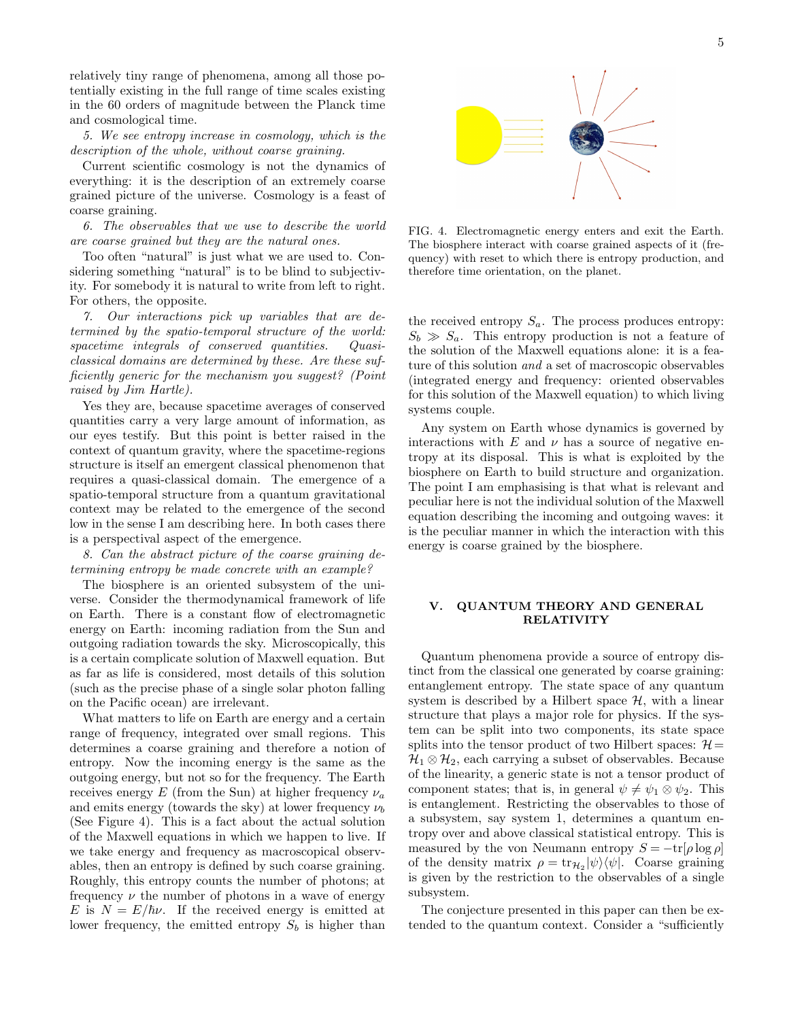relatively tiny range of phenomena, among all those potentially existing in the full range of time scales existing in the 60 orders of magnitude between the Planck time and cosmological time.

5. We see entropy increase in cosmology, which is the description of the whole, without coarse graining.

Current scientific cosmology is not the dynamics of everything: it is the description of an extremely coarse grained picture of the universe. Cosmology is a feast of coarse graining.

6. The observables that we use to describe the world are coarse grained but they are the natural ones.

Too often "natural" is just what we are used to. Considering something "natural" is to be blind to subjectivity. For somebody it is natural to write from left to right. For others, the opposite.

7. Our interactions pick up variables that are determined by the spatio-temporal structure of the world: spacetime integrals of conserved quantities. Quasiclassical domains are determined by these. Are these sufficiently generic for the mechanism you suggest? (Point raised by Jim Hartle).

Yes they are, because spacetime averages of conserved quantities carry a very large amount of information, as our eyes testify. But this point is better raised in the context of quantum gravity, where the spacetime-regions structure is itself an emergent classical phenomenon that requires a quasi-classical domain. The emergence of a spatio-temporal structure from a quantum gravitational context may be related to the emergence of the second low in the sense I am describing here. In both cases there is a perspectival aspect of the emergence.

8. Can the abstract picture of the coarse graining determining entropy be made concrete with an example?

The biosphere is an oriented subsystem of the universe. Consider the thermodynamical framework of life on Earth. There is a constant flow of electromagnetic energy on Earth: incoming radiation from the Sun and outgoing radiation towards the sky. Microscopically, this is a certain complicate solution of Maxwell equation. But as far as life is considered, most details of this solution (such as the precise phase of a single solar photon falling on the Pacific ocean) are irrelevant.

What matters to life on Earth are energy and a certain range of frequency, integrated over small regions. This determines a coarse graining and therefore a notion of entropy. Now the incoming energy is the same as the outgoing energy, but not so for the frequency. The Earth receives energy E (from the Sun) at higher frequency  $\nu_a$ and emits energy (towards the sky) at lower frequency  $\nu_b$ (See Figure 4). This is a fact about the actual solution of the Maxwell equations in which we happen to live. If we take energy and frequency as macroscopical observables, then an entropy is defined by such coarse graining. Roughly, this entropy counts the number of photons; at frequency  $\nu$  the number of photons in a wave of energy E is  $N = E/\hbar \nu$ . If the received energy is emitted at lower frequency, the emitted entropy  $S_b$  is higher than



FIG. 4. Electromagnetic energy enters and exit the Earth. The biosphere interact with coarse grained aspects of it (frequency) with reset to which there is entropy production, and therefore time orientation, on the planet.

the received entropy  $S_a$ . The process produces entropy:  $S_b \gg S_a$ . This entropy production is not a feature of the solution of the Maxwell equations alone: it is a feature of this solution and a set of macroscopic observables (integrated energy and frequency: oriented observables for this solution of the Maxwell equation) to which living systems couple.

Any system on Earth whose dynamics is governed by interactions with  $E$  and  $\nu$  has a source of negative entropy at its disposal. This is what is exploited by the biosphere on Earth to build structure and organization. The point I am emphasising is that what is relevant and peculiar here is not the individual solution of the Maxwell equation describing the incoming and outgoing waves: it is the peculiar manner in which the interaction with this energy is coarse grained by the biosphere.

## V. QUANTUM THEORY AND GENERAL RELATIVITY

Quantum phenomena provide a source of entropy distinct from the classical one generated by coarse graining: entanglement entropy. The state space of any quantum system is described by a Hilbert space  $H$ , with a linear structure that plays a major role for physics. If the system can be split into two components, its state space splits into the tensor product of two Hilbert spaces:  $\mathcal{H}$  =  $\mathcal{H}_1 \otimes \mathcal{H}_2$ , each carrying a subset of observables. Because of the linearity, a generic state is not a tensor product of component states; that is, in general  $\psi \neq \psi_1 \otimes \psi_2$ . This is entanglement. Restricting the observables to those of a subsystem, say system 1, determines a quantum entropy over and above classical statistical entropy. This is measured by the von Neumann entropy  $S = -\text{tr}[\rho \log \rho]$ of the density matrix  $\rho = \text{tr}_{\mathcal{H}_2} |\psi\rangle \langle \psi|$ . Coarse graining is given by the restriction to the observables of a single subsystem.

The conjecture presented in this paper can then be extended to the quantum context. Consider a "sufficiently